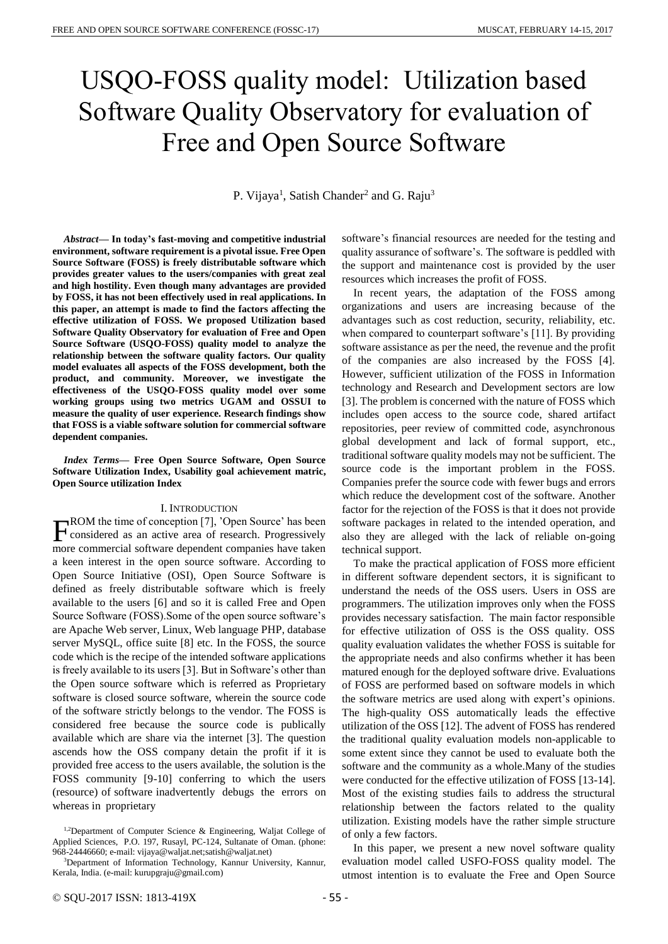# USQO-FOSS quality model: Utilization based Software Quality Observatory for evaluation of Free and Open Source Software

P. Vijaya<sup>1</sup>, Satish Chander<sup>2</sup> and G. Raju<sup>3</sup>

*Abstract—* **In today's fast-moving and competitive industrial environment, software requirement is a pivotal issue. Free Open Source Software (FOSS) is freely distributable software which provides greater values to the users/companies with great zeal and high hostility. Even though many advantages are provided by FOSS, it has not been effectively used in real applications. In this paper, an attempt is made to find the factors affecting the effective utilization of FOSS. We proposed Utilization based Software Quality Observatory for evaluation of Free and Open Source Software (USQO-FOSS) quality model to analyze the relationship between the software quality factors. Our quality model evaluates all aspects of the FOSS development, both the product, and community. Moreover, we investigate the effectiveness of the USQO-FOSS quality model over some working groups using two metrics UGAM and OSSUI to measure the quality of user experience. Research findings show that FOSS is a viable software solution for commercial software dependent companies.**

*Index Terms—* **Free Open Source Software, Open Source Software Utilization Index, Usability goal achievement matric, Open Source utilization Index**

#### I. INTRODUCTION

ROM the time of conception [7], 'Open Source' has been  $\Gamma_{\text{considered}}^{\text{ROM}}$  the time of conception [7], 'Open Source' has been<br>means considered as an active area of research. Progressively more commercial software dependent companies have taken a keen interest in the open source software. According to Open Source Initiative (OSI), Open Source Software is defined as freely distributable software which is freely available to the users [6] and so it is called Free and Open Source Software (FOSS).Some of the open source software's are Apache Web server, Linux, Web language PHP, database server MySQL, office suite [8] etc. In the FOSS, the source code which is the recipe of the intended software applications is freely available to its users [3]. But in Software's other than the Open source software which is referred as Proprietary software is closed source software, wherein the source code of the software strictly belongs to the vendor. The FOSS is considered free because the source code is publically available which are share via the internet [3]. The question ascends how the OSS company detain the profit if it is provided free access to the users available, the solution is the FOSS community [9-10] conferring to which the users (resource) of software inadvertently debugs the errors on whereas in proprietary

software's financial resources are needed for the testing and quality assurance of software's. The software is peddled with the support and maintenance cost is provided by the user resources which increases the profit of FOSS.

In recent years, the adaptation of the FOSS among organizations and users are increasing because of the advantages such as cost reduction, security, reliability, etc. when compared to counterpart software's [11]. By providing software assistance as per the need, the revenue and the profit of the companies are also increased by the FOSS [4]. However, sufficient utilization of the FOSS in Information technology and Research and Development sectors are low [3]. The problem is concerned with the nature of FOSS which includes open access to the source code, shared artifact repositories, peer review of committed code, asynchronous global development and lack of formal support, etc., traditional software quality models may not be sufficient. The source code is the important problem in the FOSS. Companies prefer the source code with fewer bugs and errors which reduce the development cost of the software. Another factor for the rejection of the FOSS is that it does not provide software packages in related to the intended operation, and also they are alleged with the lack of reliable on-going technical support.

To make the practical application of FOSS more efficient in different software dependent sectors, it is significant to understand the needs of the OSS users. Users in OSS are programmers. The utilization improves only when the FOSS provides necessary satisfaction. The main factor responsible for effective utilization of OSS is the OSS quality. OSS quality evaluation validates the whether FOSS is suitable for the appropriate needs and also confirms whether it has been matured enough for the deployed software drive. Evaluations of FOSS are performed based on software models in which the software metrics are used along with expert's opinions. The high-quality OSS automatically leads the effective utilization of the OSS [12]. The advent of FOSS has rendered the traditional quality evaluation models non-applicable to some extent since they cannot be used to evaluate both the software and the community as a whole.Many of the studies were conducted for the effective utilization of FOSS [13-14]. Most of the existing studies fails to address the structural relationship between the factors related to the quality utilization. Existing models have the rather simple structure of only a few factors.

In this paper, we present a new novel software quality evaluation model called USFO-FOSS quality model. The utmost intention is to evaluate the Free and Open Source

<sup>&</sup>lt;sup>1,2</sup>Department of Computer Science & Engineering, Waljat College of Applied Sciences, P.O. 197, Rusayl, PC-124, Sultanate of Oman. (phone: 968-24446660; e-mail: vijaya@waljat.net;satish@waljat.net)

<sup>&</sup>lt;sup>3</sup>Department of Information Technology, Kannur University, Kannur, Kerala, India. (e-mail: kurupgraju@gmail.com)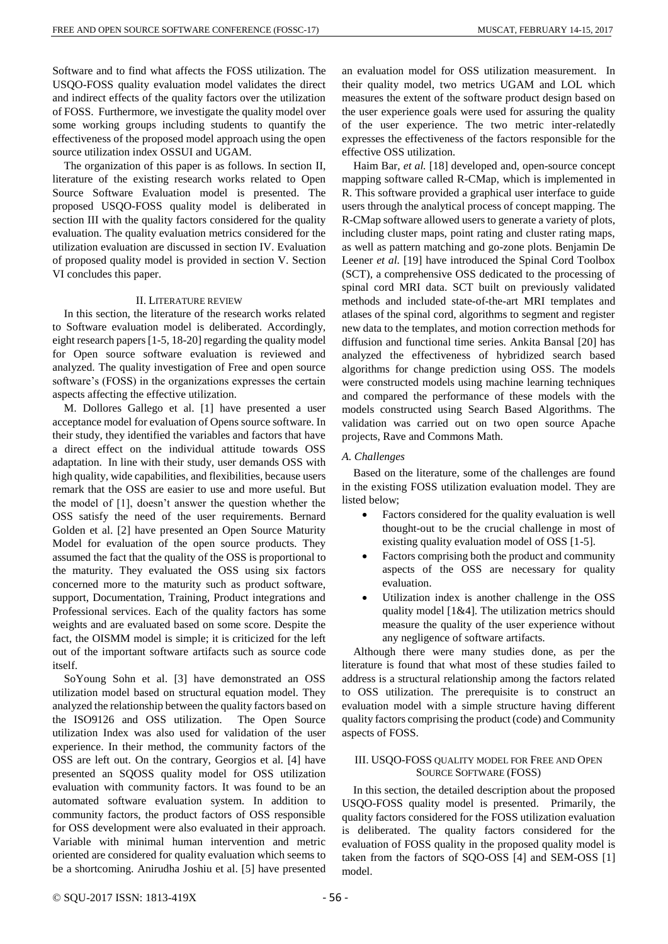Software and to find what affects the FOSS utilization. The USQO-FOSS quality evaluation model validates the direct and indirect effects of the quality factors over the utilization of FOSS. Furthermore, we investigate the quality model over some working groups including students to quantify the effectiveness of the proposed model approach using the open source utilization index OSSUI and UGAM.

The organization of this paper is as follows. In section II, literature of the existing research works related to Open Source Software Evaluation model is presented. The proposed USQO-FOSS quality model is deliberated in section III with the quality factors considered for the quality evaluation. The quality evaluation metrics considered for the utilization evaluation are discussed in section IV. Evaluation of proposed quality model is provided in section V. Section VI concludes this paper.

# II. LITERATURE REVIEW

In this section, the literature of the research works related to Software evaluation model is deliberated. Accordingly, eight research papers [1-5, 18-20] regarding the quality model for Open source software evaluation is reviewed and analyzed. The quality investigation of Free and open source software's (FOSS) in the organizations expresses the certain aspects affecting the effective utilization.

M. Dollores Gallego et al. [1] have presented a user acceptance model for evaluation of Opens source software. In their study, they identified the variables and factors that have a direct effect on the individual attitude towards OSS adaptation. In line with their study, user demands OSS with high quality, wide capabilities, and flexibilities, because users remark that the OSS are easier to use and more useful. But the model of [1], doesn't answer the question whether the OSS satisfy the need of the user requirements. Bernard Golden et al. [2] have presented an Open Source Maturity Model for evaluation of the open source products. They assumed the fact that the quality of the OSS is proportional to the maturity. They evaluated the OSS using six factors concerned more to the maturity such as product software, support, Documentation, Training, Product integrations and Professional services. Each of the quality factors has some weights and are evaluated based on some score. Despite the fact, the OISMM model is simple; it is criticized for the left out of the important software artifacts such as source code itself.

SoYoung Sohn et al. [3] have demonstrated an OSS utilization model based on structural equation model. They analyzed the relationship between the quality factors based on the ISO9126 and OSS utilization. The Open Source utilization Index was also used for validation of the user experience. In their method, the community factors of the OSS are left out. On the contrary, Georgios et al. [4] have presented an SQOSS quality model for OSS utilization evaluation with community factors. It was found to be an automated software evaluation system. In addition to community factors, the product factors of OSS responsible for OSS development were also evaluated in their approach. Variable with minimal human intervention and metric oriented are considered for quality evaluation which seems to be a shortcoming. Anirudha Joshiu et al. [5] have presented an evaluation model for OSS utilization measurement. In their quality model, two metrics UGAM and LOL which measures the extent of the software product design based on the user experience goals were used for assuring the quality of the user experience. The two metric inter-relatedly expresses the effectiveness of the factors responsible for the effective OSS utilization.

Haim Bar, *et al.* [18] developed and, open-source concept mapping software called R-CMap, which is implemented in R. This software provided a graphical user interface to guide users through the analytical process of concept mapping. The R-CMap software allowed users to generate a variety of plots, including cluster maps, point rating and cluster rating maps, as well as pattern matching and go-zone plots. Benjamin De Leener *et al.* [19] have introduced the Spinal Cord Toolbox (SCT), a comprehensive OSS dedicated to the processing of spinal cord MRI data. SCT built on previously validated methods and included state-of-the-art MRI templates and atlases of the spinal cord, algorithms to segment and register new data to the templates, and motion correction methods for diffusion and functional time series. Ankita Bansal [20] has analyzed the effectiveness of hybridized search based algorithms for change prediction using OSS. The models were constructed models using machine learning techniques and compared the performance of these models with the models constructed using Search Based Algorithms. The validation was carried out on two open source Apache projects, Rave and Commons Math.

# *A. Challenges*

Based on the literature, some of the challenges are found in the existing FOSS utilization evaluation model. They are listed below;

- Factors considered for the quality evaluation is well thought-out to be the crucial challenge in most of existing quality evaluation model of OSS [1-5].
- Factors comprising both the product and community aspects of the OSS are necessary for quality evaluation.
- Utilization index is another challenge in the OSS quality model [1&4]. The utilization metrics should measure the quality of the user experience without any negligence of software artifacts.

Although there were many studies done, as per the literature is found that what most of these studies failed to address is a structural relationship among the factors related to OSS utilization. The prerequisite is to construct an evaluation model with a simple structure having different quality factors comprising the product (code) and Community aspects of FOSS.

# III. USQO-FOSS QUALITY MODEL FOR FREE AND OPEN SOURCE SOFTWARE (FOSS)

In this section, the detailed description about the proposed USQO-FOSS quality model is presented. Primarily, the quality factors considered for the FOSS utilization evaluation is deliberated. The quality factors considered for the evaluation of FOSS quality in the proposed quality model is taken from the factors of SQO-OSS [4] and SEM-OSS [1] model.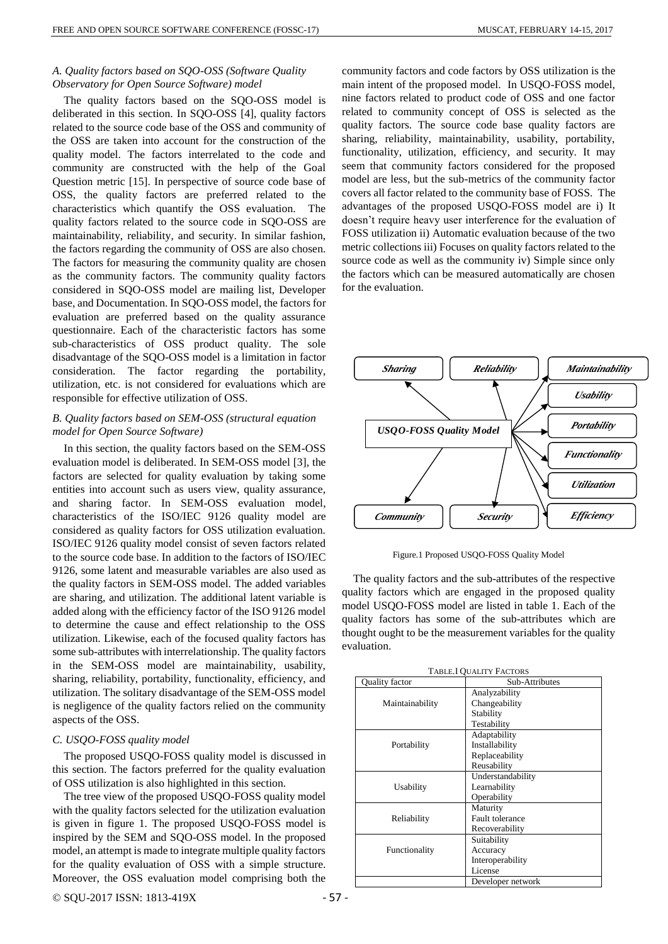# *A. Quality factors based on SQO-OSS (Software Quality Observatory for Open Source Software) model*

The quality factors based on the SQO-OSS model is deliberated in this section. In SQO-OSS [4], quality factors related to the source code base of the OSS and community of the OSS are taken into account for the construction of the quality model. The factors interrelated to the code and community are constructed with the help of the Goal Question metric [15]. In perspective of source code base of OSS, the quality factors are preferred related to the characteristics which quantify the OSS evaluation. The quality factors related to the source code in SQO-OSS are maintainability, reliability, and security. In similar fashion, the factors regarding the community of OSS are also chosen. The factors for measuring the community quality are chosen as the community factors. The community quality factors considered in SQO-OSS model are mailing list, Developer base, and Documentation. In SQO-OSS model, the factors for evaluation are preferred based on the quality assurance questionnaire. Each of the characteristic factors has some sub-characteristics of OSS product quality. The sole disadvantage of the SQO-OSS model is a limitation in factor consideration. The factor regarding the portability, utilization, etc. is not considered for evaluations which are responsible for effective utilization of OSS.

# *B. Quality factors based on SEM-OSS (structural equation model for Open Source Software)*

In this section, the quality factors based on the SEM-OSS evaluation model is deliberated. In SEM-OSS model [3], the factors are selected for quality evaluation by taking some entities into account such as users view, quality assurance, and sharing factor. In SEM-OSS evaluation model, characteristics of the ISO/IEC 9126 quality model are considered as quality factors for OSS utilization evaluation. ISO/IEC 9126 quality model consist of seven factors related to the source code base. In addition to the factors of ISO/IEC 9126, some latent and measurable variables are also used as the quality factors in SEM-OSS model. The added variables are sharing, and utilization. The additional latent variable is added along with the efficiency factor of the ISO 9126 model to determine the cause and effect relationship to the OSS utilization. Likewise, each of the focused quality factors has some sub-attributes with interrelationship. The quality factors in the SEM-OSS model are maintainability, usability, sharing, reliability, portability, functionality, efficiency, and utilization. The solitary disadvantage of the SEM-OSS model is negligence of the quality factors relied on the community aspects of the OSS.

# *C. USQO-FOSS quality model*

The proposed USQO-FOSS quality model is discussed in this section. The factors preferred for the quality evaluation of OSS utilization is also highlighted in this section.

The tree view of the proposed USQO-FOSS quality model with the quality factors selected for the utilization evaluation is given in figure 1. The proposed USQO-FOSS model is inspired by the SEM and SQO-OSS model. In the proposed model, an attempt is made to integrate multiple quality factors for the quality evaluation of OSS with a simple structure. Moreover, the OSS evaluation model comprising both the community factors and code factors by OSS utilization is the main intent of the proposed model. In USQO-FOSS model, nine factors related to product code of OSS and one factor related to community concept of OSS is selected as the quality factors. The source code base quality factors are sharing, reliability, maintainability, usability, portability, functionality, utilization, efficiency, and security. It may seem that community factors considered for the proposed model are less, but the sub-metrics of the community factor covers all factor related to the community base of FOSS. The advantages of the proposed USQO-FOSS model are i) It doesn't require heavy user interference for the evaluation of FOSS utilization ii) Automatic evaluation because of the two metric collections iii) Focuses on quality factors related to the source code as well as the community iv) Simple since only the factors which can be measured automatically are chosen for the evaluation.



Figure.1 Proposed USQO-FOSS Quality Model

The quality factors and the sub-attributes of the respective quality factors which are engaged in the proposed quality model USQO-FOSS model are listed in table 1. Each of the quality factors has some of the sub-attributes which are thought ought to be the measurement variables for the quality evaluation.

| <b>TABLE.I QUALITY FACTORS</b> |
|--------------------------------|
|--------------------------------|

| Quality factor  | Sub-Attributes         |
|-----------------|------------------------|
|                 | Analyzability          |
| Maintainability | Changeability          |
|                 | Stability              |
|                 | Testability            |
|                 | Adaptability           |
| Portability     | Installability         |
|                 | Replaceability         |
|                 | Reusability            |
|                 | Understandability      |
| Usability       | Learnability           |
|                 | Operability            |
|                 | Maturity               |
| Reliability     | <b>Fault tolerance</b> |
|                 | Recoverability         |
|                 | Suitability            |
| Functionality   | Accuracy               |
|                 | Interoperability       |
|                 | License                |
|                 | Developer network      |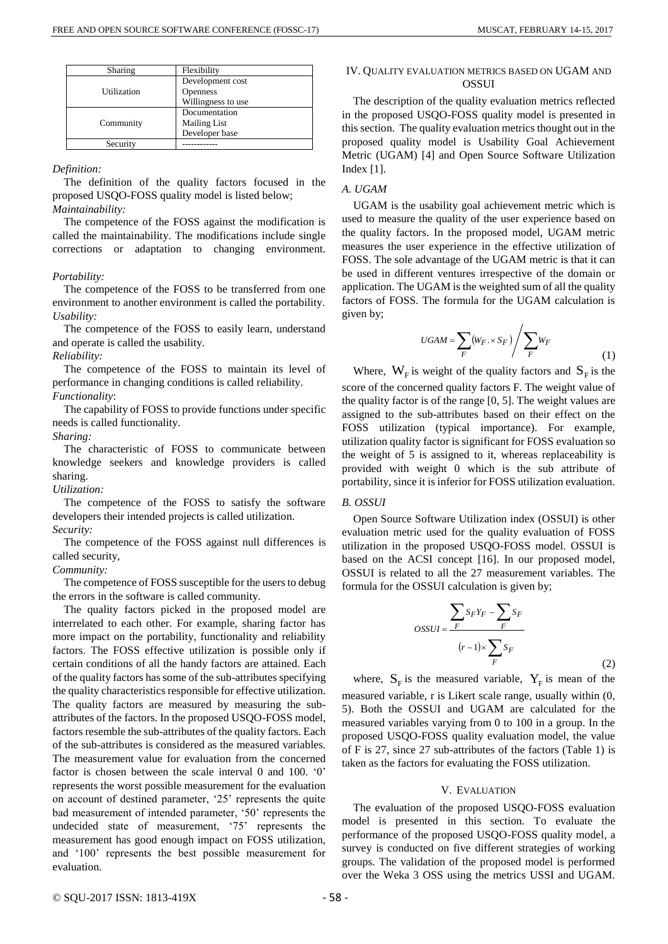| Sharing     | Flexibility         |
|-------------|---------------------|
|             | Development cost    |
| Utilization | <b>Openness</b>     |
|             | Willingness to use  |
|             | Documentation       |
| Community   | <b>Mailing List</b> |
|             | Developer base      |
| Security    |                     |

#### *Definition:*

The definition of the quality factors focused in the proposed USQO-FOSS quality model is listed below; *Maintainability:* 

The competence of the FOSS against the modification is called the maintainability. The modifications include single corrections or adaptation to changing environment.

### *Portability:*

The competence of the FOSS to be transferred from one environment to another environment is called the portability. *Usability:*

The competence of the FOSS to easily learn, understand and operate is called the usability.

*Reliability:*

The competence of the FOSS to maintain its level of performance in changing conditions is called reliability. *Functionality*:

The capability of FOSS to provide functions under specific needs is called functionality.

*Sharing:*

The characteristic of FOSS to communicate between knowledge seekers and knowledge providers is called sharing.

*Utilization:*

The competence of the FOSS to satisfy the software developers their intended projects is called utilization. *Security:*

The competence of the FOSS against null differences is called security,

# *Community:*

The competence of FOSS susceptible for the users to debug the errors in the software is called community.

The quality factors picked in the proposed model are interrelated to each other. For example, sharing factor has more impact on the portability, functionality and reliability factors. The FOSS effective utilization is possible only if certain conditions of all the handy factors are attained. Each of the quality factors has some of the sub-attributes specifying the quality characteristics responsible for effective utilization. The quality factors are measured by measuring the subattributes of the factors. In the proposed USQO-FOSS model, factors resemble the sub-attributes of the quality factors. Each of the sub-attributes is considered as the measured variables. The measurement value for evaluation from the concerned factor is chosen between the scale interval 0 and 100. '0' represents the worst possible measurement for the evaluation on account of destined parameter, '25' represents the quite bad measurement of intended parameter, '50' represents the undecided state of measurement, '75' represents the measurement has good enough impact on FOSS utilization, and '100' represents the best possible measurement for evaluation.

# IV. QUALITY EVALUATION METRICS BASED ON UGAM AND **OSSUI**

The description of the quality evaluation metrics reflected in the proposed USQO-FOSS quality model is presented in this section. The quality evaluation metrics thought out in the proposed quality model is Usability Goal Achievement Metric (UGAM) [4] and Open Source Software Utilization Index [1].

# *A. UGAM*

UGAM is the usability goal achievement metric which is used to measure the quality of the user experience based on the quality factors. In the proposed model, UGAM metric measures the user experience in the effective utilization of FOSS. The sole advantage of the UGAM metric is that it can be used in different ventures irrespective of the domain or application. The UGAM is the weighted sum of all the quality factors of FOSS. The formula for the UGAM calculation is given by;

$$
UGAM = \sum_{F} (W_F \cdot \times S_F) / \sum_{F} W_F
$$
 (1)

Where,  $W_F$  is weight of the quality factors and  $S_F$  is the score of the concerned quality factors F. The weight value of the quality factor is of the range [0, 5]. The weight values are assigned to the sub-attributes based on their effect on the FOSS utilization (typical importance). For example, utilization quality factor is significant for FOSS evaluation so the weight of 5 is assigned to it, whereas replaceability is provided with weight 0 which is the sub attribute of portability, since it is inferior for FOSS utilization evaluation.

#### *B. OSSUI*

Open Source Software Utilization index (OSSUI) is other evaluation metric used for the quality evaluation of FOSS utilization in the proposed USQO-FOSS model. OSSUI is based on the ACSI concept [16]. In our proposed model, OSSUI is related to all the 27 measurement variables. The formula for the OSSUI calculation is given by;

$$
OSSUI = \frac{\sum_{F} S_F Y_F - \sum_{F} S_F}{(r-1) \times \sum_{F} S_F}
$$
\n(2)

where,  $S_F$  is the measured variable,  $Y_F$  is mean of the measured variable, r is Likert scale range, usually within (0, 5). Both the OSSUI and UGAM are calculated for the measured variables varying from 0 to 100 in a group. In the proposed USQO-FOSS quality evaluation model, the value of F is 27, since 27 sub-attributes of the factors (Table 1) is taken as the factors for evaluating the FOSS utilization.

# V. EVALUATION

The evaluation of the proposed USQO-FOSS evaluation model is presented in this section. To evaluate the performance of the proposed USQO-FOSS quality model, a survey is conducted on five different strategies of working groups. The validation of the proposed model is performed over the Weka 3 OSS using the metrics USSI and UGAM.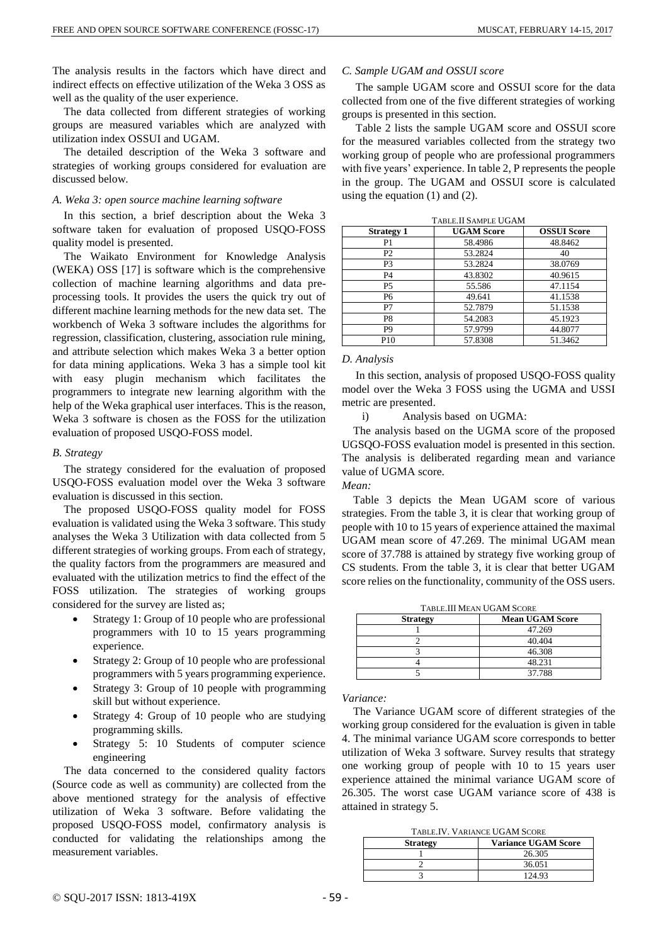The analysis results in the factors which have direct and indirect effects on effective utilization of the Weka 3 OSS as well as the quality of the user experience.

The data collected from different strategies of working groups are measured variables which are analyzed with utilization index OSSUI and UGAM.

The detailed description of the Weka 3 software and strategies of working groups considered for evaluation are discussed below.

### *A. Weka 3: open source machine learning software*

In this section, a brief description about the Weka 3 software taken for evaluation of proposed USQO-FOSS quality model is presented.

The Waikato Environment for Knowledge Analysis (WEKA) OSS [17] is software which is the comprehensive collection of machine learning algorithms and data preprocessing tools. It provides the users the quick try out of different machine learning methods for the new data set. The workbench of Weka 3 software includes the algorithms for regression, classification, clustering, association rule mining, and attribute selection which makes Weka 3 a better option for data mining applications. Weka 3 has a simple tool kit with easy plugin mechanism which facilitates the programmers to integrate new learning algorithm with the help of the Weka graphical user interfaces. This is the reason, Weka 3 software is chosen as the FOSS for the utilization evaluation of proposed USQO-FOSS model.

### *B. Strategy*

The strategy considered for the evaluation of proposed USQO-FOSS evaluation model over the Weka 3 software evaluation is discussed in this section.

The proposed USQO-FOSS quality model for FOSS evaluation is validated using the Weka 3 software. This study analyses the Weka 3 Utilization with data collected from 5 different strategies of working groups. From each of strategy, the quality factors from the programmers are measured and evaluated with the utilization metrics to find the effect of the FOSS utilization. The strategies of working groups considered for the survey are listed as;

- Strategy 1: Group of 10 people who are professional programmers with 10 to 15 years programming experience.
- Strategy 2: Group of 10 people who are professional programmers with 5 years programming experience.
- Strategy 3: Group of 10 people with programming skill but without experience.
- Strategy 4: Group of 10 people who are studying programming skills.
- Strategy 5: 10 Students of computer science engineering

The data concerned to the considered quality factors (Source code as well as community) are collected from the above mentioned strategy for the analysis of effective utilization of Weka 3 software. Before validating the proposed USQO-FOSS model, confirmatory analysis is conducted for validating the relationships among the measurement variables.

### *C. Sample UGAM and OSSUI score*

The sample UGAM score and OSSUI score for the data collected from one of the five different strategies of working groups is presented in this section.

Table 2 lists the sample UGAM score and OSSUI score for the measured variables collected from the strategy two working group of people who are professional programmers with five years' experience. In table 2, P represents the people in the group. The UGAM and OSSUI score is calculated using the equation (1) and (2).

| TABLE. II SAMPLE UGAM |                   |                    |  |
|-----------------------|-------------------|--------------------|--|
| <b>Strategy 1</b>     | <b>UGAM Score</b> | <b>OSSUI Score</b> |  |
| P1                    | 58.4986           | 48.8462            |  |
| P2                    | 53.2824           | 40                 |  |
| P3                    | 53.2824           | 38.0769            |  |
| P4                    | 43.8302           | 40.9615            |  |
| P <sub>5</sub>        | 55.586            | 47.1154            |  |
| P6                    | 49.641            | 41.1538            |  |
| P7                    | 52.7879           | 51.1538            |  |
| P8                    | 54.2083           | 45.1923            |  |
| P <sub>9</sub>        | 57.9799           | 44.8077            |  |
| P <sub>10</sub>       | 57.8308           | 51.3462            |  |

## *D. Analysis*

In this section, analysis of proposed USQO-FOSS quality model over the Weka 3 FOSS using the UGMA and USSI metric are presented.

i) Analysis based on UGMA:

The analysis based on the UGMA score of the proposed UGSQO-FOSS evaluation model is presented in this section. The analysis is deliberated regarding mean and variance value of UGMA score.

*Mean:*

Table 3 depicts the Mean UGAM score of various strategies. From the table 3, it is clear that working group of people with 10 to 15 years of experience attained the maximal UGAM mean score of 47.269. The minimal UGAM mean score of 37.788 is attained by strategy five working group of CS students. From the table 3, it is clear that better UGAM score relies on the functionality, community of the OSS users.

TABLE.III MEAN UGAM SCORE

| <b>Strategy</b> | <b>Mean UGAM Score</b> |
|-----------------|------------------------|
|                 | 47.269                 |
|                 | 40.404                 |
|                 | 46.308                 |
|                 | 48.231                 |
|                 | 37.788                 |

*Variance:* 

The Variance UGAM score of different strategies of the working group considered for the evaluation is given in table 4. The minimal variance UGAM score corresponds to better utilization of Weka 3 software. Survey results that strategy one working group of people with 10 to 15 years user experience attained the minimal variance UGAM score of 26.305. The worst case UGAM variance score of 438 is attained in strategy 5.

TABLE.IV. VARIANCE UGAM SCORE

| TADLE.IV. VANDINGE OOI IN DOORE |                            |  |
|---------------------------------|----------------------------|--|
| <b>Strategy</b>                 | <b>Variance UGAM Score</b> |  |
|                                 | 26.305                     |  |
|                                 | 36.051                     |  |
|                                 | 124.93                     |  |